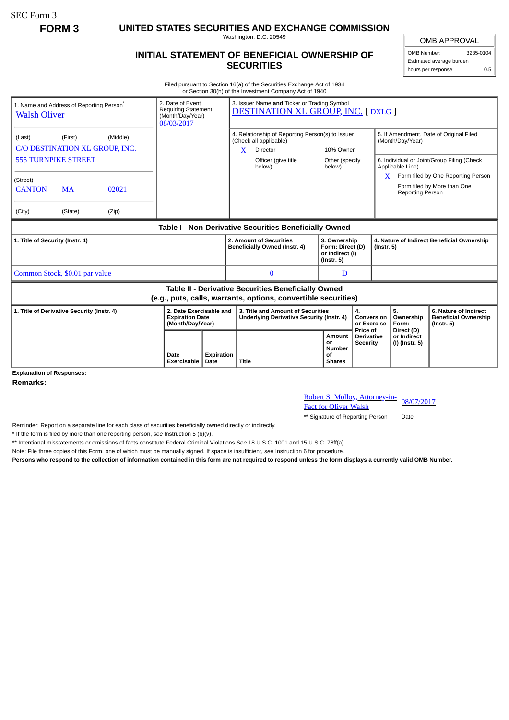SEC Form 3

**FORM 3 UNITED STATES SECURITIES AND EXCHANGE COMMISSION**

Washington, D.C. 20549

## **INITIAL STATEMENT OF BENEFICIAL OWNERSHIP OF SECURITIES**

OMB APPROVAL OMB Number: 3235-0104

Estimated average burden hours per response: 0.5

Filed pursuant to Section 16(a) of the Securities Exchange Act of 1934 or Section 30(h) of the Investment Company Act of 1940

| <b>Walsh Oliver</b>                                                                                                   | 1. Name and Address of Reporting Person <sup>®</sup>  |       | 2. Date of Event<br><b>Requiring Statement</b><br>(Month/Day/Year)<br>08/03/2017 |                           | 3. Issuer Name and Ticker or Trading Symbol<br><b>DESTINATION XL GROUP, INC. [DXLG ]</b>    |                               |                                                                         |                                                  |                                                                |                                             |                                                                          |
|-----------------------------------------------------------------------------------------------------------------------|-------------------------------------------------------|-------|----------------------------------------------------------------------------------|---------------------------|---------------------------------------------------------------------------------------------|-------------------------------|-------------------------------------------------------------------------|--------------------------------------------------|----------------------------------------------------------------|---------------------------------------------|--------------------------------------------------------------------------|
| (Last)                                                                                                                | (Middle)<br>(First)<br>C/O DESTINATION XL GROUP. INC. |       |                                                                                  |                           | 4. Relationship of Reporting Person(s) to Issuer<br>(Check all applicable)<br>X<br>Director |                               | 10% Owner                                                               |                                                  | 5. If Amendment, Date of Original Filed<br>(Month/Day/Year)    |                                             |                                                                          |
| <b>555 TURNPIKE STREET</b>                                                                                            |                                                       |       |                                                                                  |                           |                                                                                             | Officer (give title<br>below) | Other (specify<br>below)                                                |                                                  |                                                                | Applicable Line)                            | 6. Individual or Joint/Group Filing (Check                               |
| (Street)<br><b>CANTON</b>                                                                                             | <b>MA</b>                                             | 02021 |                                                                                  |                           |                                                                                             |                               |                                                                         |                                                  |                                                                | <b>Reporting Person</b>                     | $X$ Form filed by One Reporting Person<br>Form filed by More than One    |
| (City)                                                                                                                | (State)                                               | (Zip) |                                                                                  |                           |                                                                                             |                               |                                                                         |                                                  |                                                                |                                             |                                                                          |
| Table I - Non-Derivative Securities Beneficially Owned                                                                |                                                       |       |                                                                                  |                           |                                                                                             |                               |                                                                         |                                                  |                                                                |                                             |                                                                          |
| 1. Title of Security (Instr. 4)                                                                                       |                                                       |       |                                                                                  |                           | 2. Amount of Securities<br>Beneficially Owned (Instr. 4)                                    |                               | 3. Ownership<br>Form: Direct (D)<br>or Indirect (I)<br>$($ lnstr. 5 $)$ |                                                  | 4. Nature of Indirect Beneficial Ownership<br>$($ lnstr. 5 $)$ |                                             |                                                                          |
| Common Stock, \$0.01 par value                                                                                        |                                                       |       |                                                                                  |                           | $\mathbf{0}$<br>D                                                                           |                               |                                                                         |                                                  |                                                                |                                             |                                                                          |
| Table II - Derivative Securities Beneficially Owned<br>(e.g., puts, calls, warrants, options, convertible securities) |                                                       |       |                                                                                  |                           |                                                                                             |                               |                                                                         |                                                  |                                                                |                                             |                                                                          |
| 1. Title of Derivative Security (Instr. 4)                                                                            |                                                       |       | 2. Date Exercisable and<br><b>Expiration Date</b><br>(Month/Day/Year)            |                           | 3. Title and Amount of Securities<br><b>Underlying Derivative Security (Instr. 4)</b>       |                               | 4.<br>Conversion<br>or Exercise                                         |                                                  |                                                                | 5.<br>Ownership<br>Form:                    | 6. Nature of Indirect<br><b>Beneficial Ownership</b><br>$($ lnstr. 5 $)$ |
|                                                                                                                       |                                                       |       | Date<br><b>Exercisable</b>                                                       | <b>Expiration</b><br>Date | Title                                                                                       |                               | Amount<br>or<br><b>Number</b><br>οf<br><b>Shares</b>                    | Price of<br><b>Derivative</b><br><b>Security</b> |                                                                | Direct (D)<br>or Indirect<br>(I) (Instr. 5) |                                                                          |

**Explanation of Responses:**

**Remarks:**

Robert S. Molloy, Attorney-in-<br>Fact for Oliver Walsh

\*\* Signature of Reporting Person Date

Reminder: Report on a separate line for each class of securities beneficially owned directly or indirectly.

\* If the form is filed by more than one reporting person, *see* Instruction 5 (b)(v).

\*\* Intentional misstatements or omissions of facts constitute Federal Criminal Violations *See* 18 U.S.C. 1001 and 15 U.S.C. 78ff(a).

Note: File three copies of this Form, one of which must be manually signed. If space is insufficient, *see* Instruction 6 for procedure.

**Persons who respond to the collection of information contained in this form are not required to respond unless the form displays a currently valid OMB Number.**